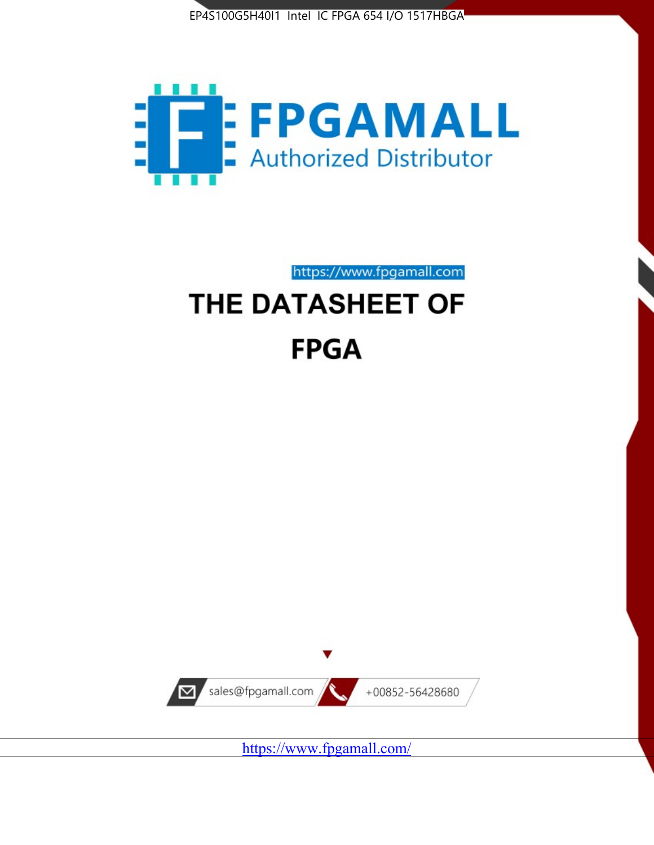



https://www.fpgamall.com

# THE DATASHEET OF **FPGA**



<https://www.fpgamall.com/>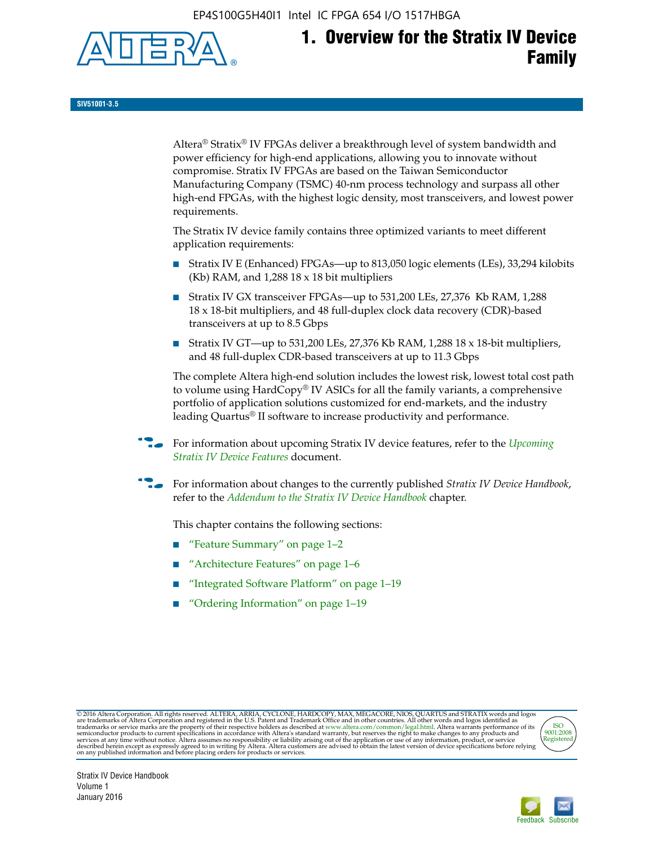EP4S100G5H40I1 Intel IC FPGA 654 I/O 1517HBGA



# **1. Overview for the Stratix IV Device Family**

**SIV51001-3.5**

Altera® Stratix® IV FPGAs deliver a breakthrough level of system bandwidth and power efficiency for high-end applications, allowing you to innovate without compromise. Stratix IV FPGAs are based on the Taiwan Semiconductor Manufacturing Company (TSMC) 40-nm process technology and surpass all other high-end FPGAs, with the highest logic density, most transceivers, and lowest power requirements.

The Stratix IV device family contains three optimized variants to meet different application requirements:

- Stratix IV E (Enhanced) FPGAs—up to 813,050 logic elements (LEs), 33,294 kilobits (Kb) RAM, and 1,288 18 x 18 bit multipliers
- Stratix IV GX transceiver FPGAs—up to 531,200 LEs, 27,376 Kb RAM, 1,288 18 x 18-bit multipliers, and 48 full-duplex clock data recovery (CDR)-based transceivers at up to 8.5 Gbps
- Stratix IV GT—up to 531,200 LEs, 27,376 Kb RAM, 1,288 18 x 18-bit multipliers, and 48 full-duplex CDR-based transceivers at up to 11.3 Gbps

The complete Altera high-end solution includes the lowest risk, lowest total cost path to volume using HardCopy® IV ASICs for all the family variants, a comprehensive portfolio of application solutions customized for end-markets, and the industry leading Quartus® II software to increase productivity and performance.

f For information about upcoming Stratix IV device features, refer to the *[Upcoming](http://www.altera.com/literature/hb/stratix-iv/uf01001.pdf?GSA_pos=2&WT.oss_r=1&WT.oss=upcoming)  [Stratix IV Device Features](http://www.altera.com/literature/hb/stratix-iv/uf01001.pdf?GSA_pos=2&WT.oss_r=1&WT.oss=upcoming)* document.

f For information about changes to the currently published *Stratix IV Device Handbook*, refer to the *[Addendum to the Stratix IV Device Handbook](http://www.altera.com/literature/hb/stratix-iv/stx4_siv54002.pdf)* chapter.

This chapter contains the following sections:

- "Feature Summary" on page 1–2
- "Architecture Features" on page 1–6
- "Integrated Software Platform" on page 1–19
- "Ordering Information" on page 1–19

@2016 Altera Corporation. All rights reserved. ALTERA, ARRIA, CYCLONE, HARDCOPY, MAX, MEGACORE, NIOS, QUARTUS and STRATIX words and logos are trademarks of Altera Corporation and registered in the U.S. Patent and Trademark



Stratix IV Device Handbook Volume 1 January 2016

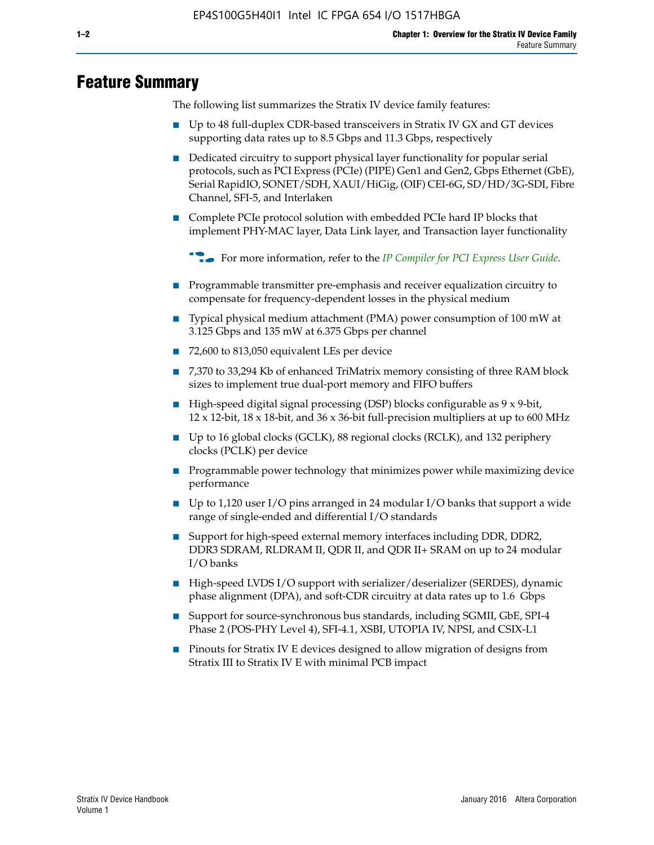# **Feature Summary**

The following list summarizes the Stratix IV device family features:

- Up to 48 full-duplex CDR-based transceivers in Stratix IV GX and GT devices supporting data rates up to 8.5 Gbps and 11.3 Gbps, respectively
- Dedicated circuitry to support physical layer functionality for popular serial protocols, such as PCI Express (PCIe) (PIPE) Gen1 and Gen2, Gbps Ethernet (GbE), Serial RapidIO, SONET/SDH, XAUI/HiGig, (OIF) CEI-6G, SD/HD/3G-SDI, Fibre Channel, SFI-5, and Interlaken
- Complete PCIe protocol solution with embedded PCIe hard IP blocks that implement PHY-MAC layer, Data Link layer, and Transaction layer functionality

**For more information, refer to the** *[IP Compiler for PCI Express User Guide](http://www.altera.com/literature/ug/ug_pci_express.pdf)***.** 

- Programmable transmitter pre-emphasis and receiver equalization circuitry to compensate for frequency-dependent losses in the physical medium
- Typical physical medium attachment (PMA) power consumption of 100 mW at 3.125 Gbps and 135 mW at 6.375 Gbps per channel
- 72,600 to 813,050 equivalent LEs per device
- 7,370 to 33,294 Kb of enhanced TriMatrix memory consisting of three RAM block sizes to implement true dual-port memory and FIFO buffers
- High-speed digital signal processing (DSP) blocks configurable as 9 x 9-bit,  $12 \times 12$ -bit,  $18 \times 18$ -bit, and  $36 \times 36$ -bit full-precision multipliers at up to 600 MHz
- Up to 16 global clocks (GCLK), 88 regional clocks (RCLK), and 132 periphery clocks (PCLK) per device
- Programmable power technology that minimizes power while maximizing device performance
- Up to 1,120 user I/O pins arranged in 24 modular I/O banks that support a wide range of single-ended and differential I/O standards
- Support for high-speed external memory interfaces including DDR, DDR2, DDR3 SDRAM, RLDRAM II, QDR II, and QDR II+ SRAM on up to 24 modular I/O banks
- High-speed LVDS I/O support with serializer/deserializer (SERDES), dynamic phase alignment (DPA), and soft-CDR circuitry at data rates up to 1.6 Gbps
- Support for source-synchronous bus standards, including SGMII, GbE, SPI-4 Phase 2 (POS-PHY Level 4), SFI-4.1, XSBI, UTOPIA IV, NPSI, and CSIX-L1
- Pinouts for Stratix IV E devices designed to allow migration of designs from Stratix III to Stratix IV E with minimal PCB impact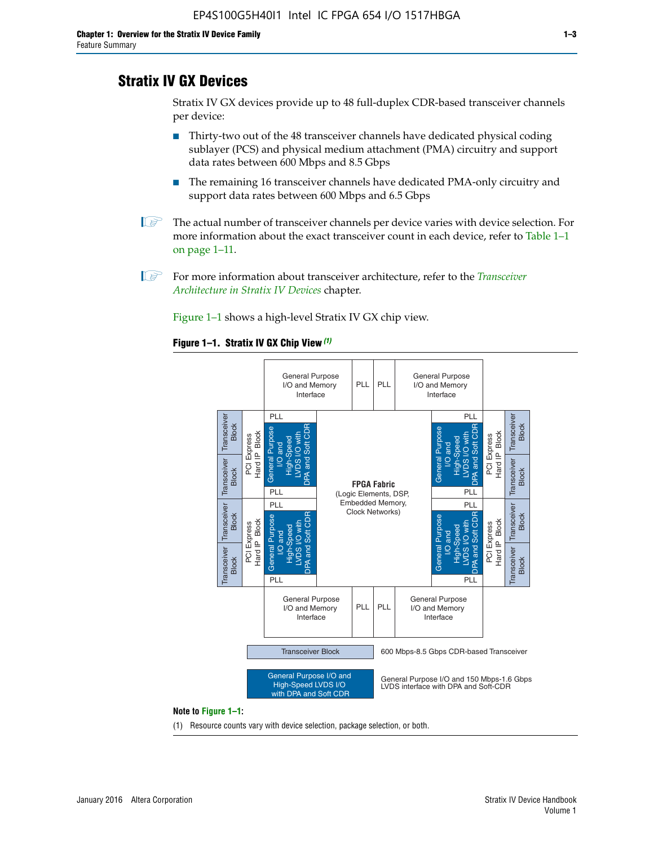## **Stratix IV GX Devices**

Stratix IV GX devices provide up to 48 full-duplex CDR-based transceiver channels per device:

- Thirty-two out of the 48 transceiver channels have dedicated physical coding sublayer (PCS) and physical medium attachment (PMA) circuitry and support data rates between 600 Mbps and 8.5 Gbps
- The remaining 16 transceiver channels have dedicated PMA-only circuitry and support data rates between 600 Mbps and 6.5 Gbps
- **1 The actual number of transceiver channels per device varies with device selection. For** more information about the exact transceiver count in each device, refer to Table 1–1 on page 1–11.
- 1 For more information about transceiver architecture, refer to the *[Transceiver](http://www.altera.com/literature/hb/stratix-iv/stx4_siv52001.pdf)  [Architecture in Stratix IV Devices](http://www.altera.com/literature/hb/stratix-iv/stx4_siv52001.pdf)* chapter.

Figure 1–1 shows a high-level Stratix IV GX chip view.

#### **Figure 1–1. Stratix IV GX Chip View** *(1)*



#### **Note to Figure 1–1:**

(1) Resource counts vary with device selection, package selection, or both.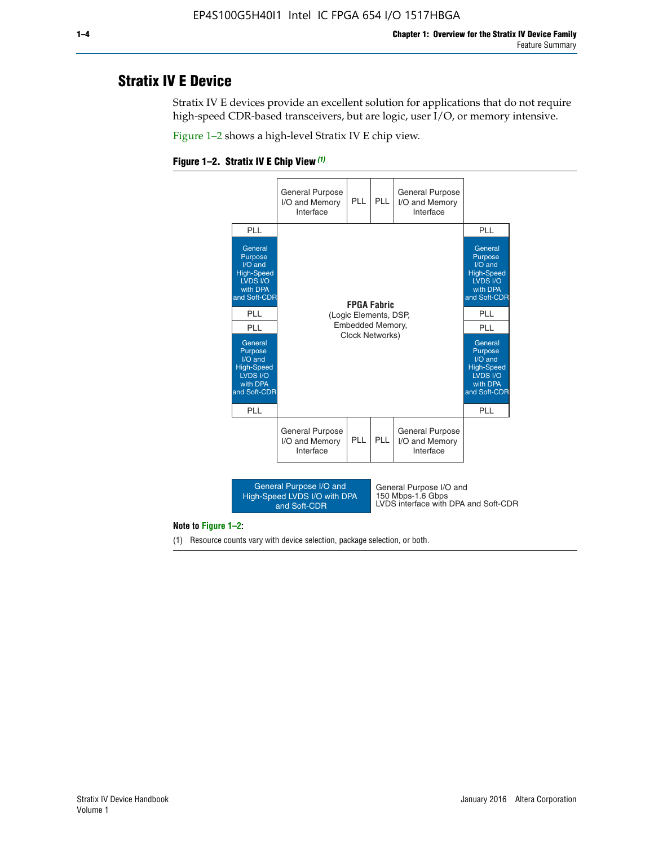## **Stratix IV E Device**

Stratix IV E devices provide an excellent solution for applications that do not require high-speed CDR-based transceivers, but are logic, user I/O, or memory intensive.

Figure 1–2 shows a high-level Stratix IV E chip view.





#### **Note to Figure 1–2:**

(1) Resource counts vary with device selection, package selection, or both.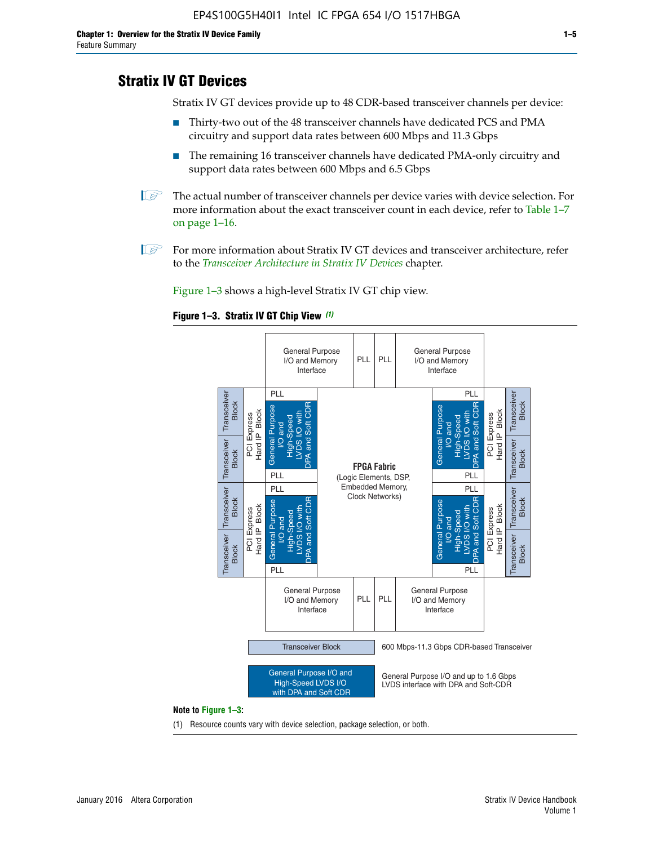# **Stratix IV GT Devices**

Stratix IV GT devices provide up to 48 CDR-based transceiver channels per device:

- Thirty-two out of the 48 transceiver channels have dedicated PCS and PMA circuitry and support data rates between 600 Mbps and 11.3 Gbps
- The remaining 16 transceiver channels have dedicated PMA-only circuitry and support data rates between 600 Mbps and 6.5 Gbps
- **1** The actual number of transceiver channels per device varies with device selection. For more information about the exact transceiver count in each device, refer to Table 1–7 on page 1–16.
- $\mathbb{I}$  For more information about Stratix IV GT devices and transceiver architecture, refer to the *[Transceiver Architecture in Stratix IV Devices](http://www.altera.com/literature/hb/stratix-iv/stx4_siv52001.pdf)* chapter.

Figure 1–3 shows a high-level Stratix IV GT chip view.





(1) Resource counts vary with device selection, package selection, or both.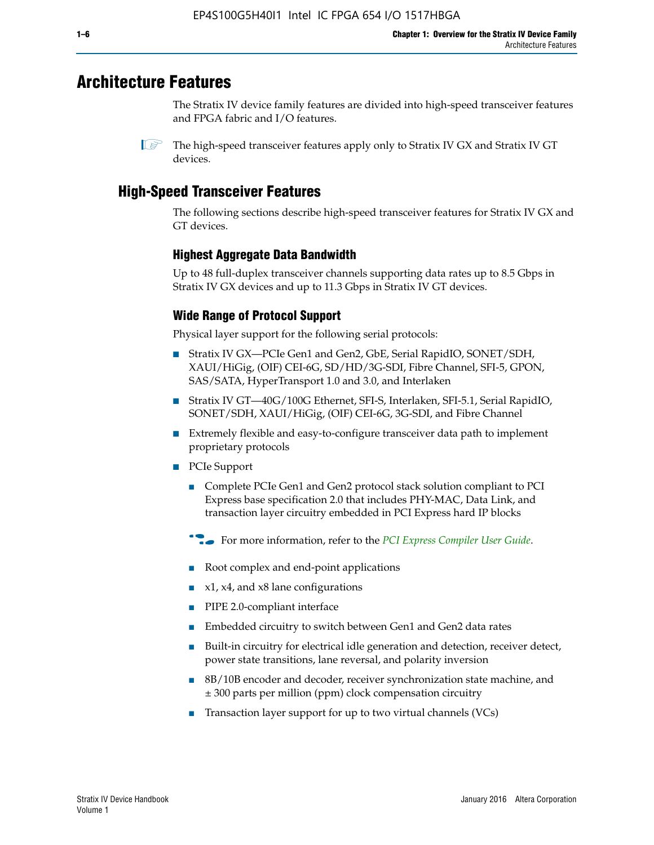# **Architecture Features**

The Stratix IV device family features are divided into high-speed transceiver features and FPGA fabric and I/O features.

 $\mathbb{I}$  The high-speed transceiver features apply only to Stratix IV GX and Stratix IV GT devices.

## **High-Speed Transceiver Features**

The following sections describe high-speed transceiver features for Stratix IV GX and GT devices.

#### **Highest Aggregate Data Bandwidth**

Up to 48 full-duplex transceiver channels supporting data rates up to 8.5 Gbps in Stratix IV GX devices and up to 11.3 Gbps in Stratix IV GT devices.

### **Wide Range of Protocol Support**

Physical layer support for the following serial protocols:

- Stratix IV GX—PCIe Gen1 and Gen2, GbE, Serial RapidIO, SONET/SDH, XAUI/HiGig, (OIF) CEI-6G, SD/HD/3G-SDI, Fibre Channel, SFI-5, GPON, SAS/SATA, HyperTransport 1.0 and 3.0, and Interlaken
- Stratix IV GT—40G/100G Ethernet, SFI-S, Interlaken, SFI-5.1, Serial RapidIO, SONET/SDH, XAUI/HiGig, (OIF) CEI-6G, 3G-SDI, and Fibre Channel
- Extremely flexible and easy-to-configure transceiver data path to implement proprietary protocols
- PCIe Support
	- Complete PCIe Gen1 and Gen2 protocol stack solution compliant to PCI Express base specification 2.0 that includes PHY-MAC, Data Link, and transaction layer circuitry embedded in PCI Express hard IP blocks
	- **For more information, refer to the [PCI Express Compiler User Guide](http://www.altera.com/literature/ug/ug_pci_express.pdf).**
	- Root complex and end-point applications
	- $x1, x4,$  and  $x8$  lane configurations
	- PIPE 2.0-compliant interface
	- Embedded circuitry to switch between Gen1 and Gen2 data rates
	- Built-in circuitry for electrical idle generation and detection, receiver detect, power state transitions, lane reversal, and polarity inversion
	- 8B/10B encoder and decoder, receiver synchronization state machine, and ± 300 parts per million (ppm) clock compensation circuitry
	- Transaction layer support for up to two virtual channels (VCs)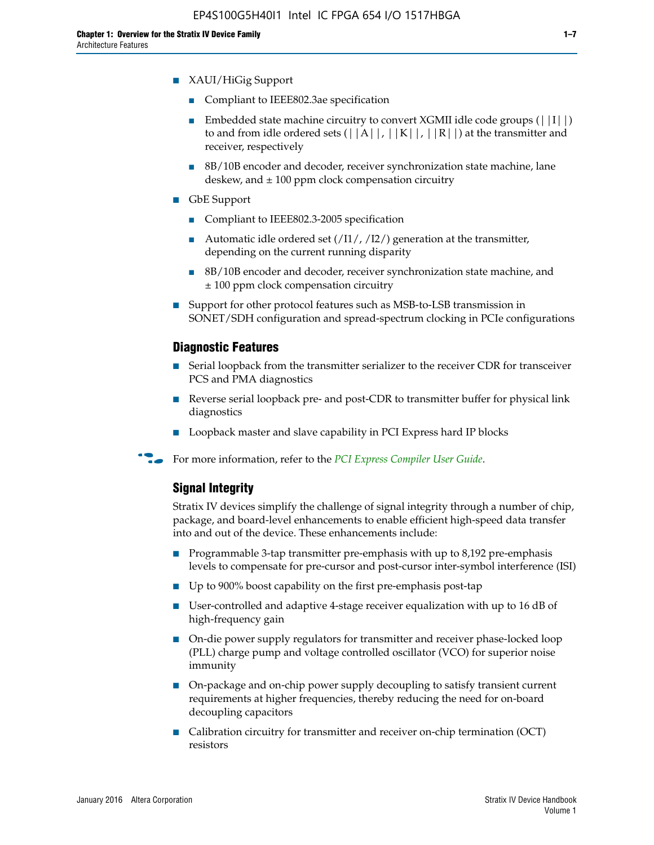- Compliant to IEEE802.3ae specification
- **■** Embedded state machine circuitry to convert XGMII idle code groups  $(|11|)$ to and from idle ordered sets  $(|A|, |K|, |R|)$  at the transmitter and receiver, respectively
- 8B/10B encoder and decoder, receiver synchronization state machine, lane deskew, and  $\pm 100$  ppm clock compensation circuitry
- GbE Support
	- Compliant to IEEE802.3-2005 specification
	- Automatic idle ordered set  $(111/112/1)$  generation at the transmitter, depending on the current running disparity
	- 8B/10B encoder and decoder, receiver synchronization state machine, and ± 100 ppm clock compensation circuitry
- Support for other protocol features such as MSB-to-LSB transmission in SONET/SDH configuration and spread-spectrum clocking in PCIe configurations

#### **Diagnostic Features**

- Serial loopback from the transmitter serializer to the receiver CDR for transceiver PCS and PMA diagnostics
- Reverse serial loopback pre- and post-CDR to transmitter buffer for physical link diagnostics
- Loopback master and slave capability in PCI Express hard IP blocks
- **For more information, refer to the** *[PCI Express Compiler User Guide](http://www.altera.com/literature/ug/ug_pci_express.pdf)***.**

#### **Signal Integrity**

Stratix IV devices simplify the challenge of signal integrity through a number of chip, package, and board-level enhancements to enable efficient high-speed data transfer into and out of the device. These enhancements include:

- Programmable 3-tap transmitter pre-emphasis with up to 8,192 pre-emphasis levels to compensate for pre-cursor and post-cursor inter-symbol interference (ISI)
- Up to 900% boost capability on the first pre-emphasis post-tap
- User-controlled and adaptive 4-stage receiver equalization with up to 16 dB of high-frequency gain
- On-die power supply regulators for transmitter and receiver phase-locked loop (PLL) charge pump and voltage controlled oscillator (VCO) for superior noise immunity
- On-package and on-chip power supply decoupling to satisfy transient current requirements at higher frequencies, thereby reducing the need for on-board decoupling capacitors
- Calibration circuitry for transmitter and receiver on-chip termination (OCT) resistors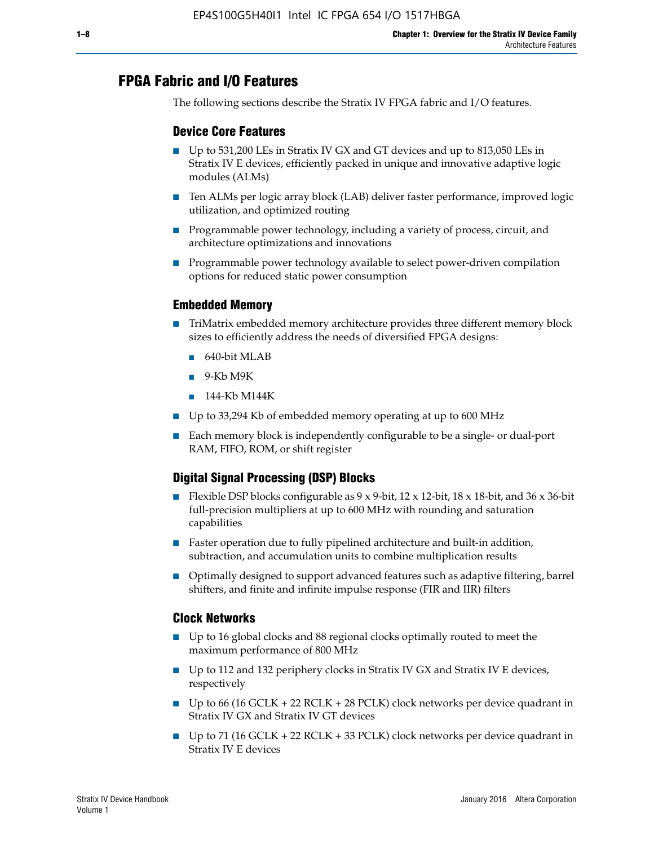# **FPGA Fabric and I/O Features**

The following sections describe the Stratix IV FPGA fabric and I/O features.

#### **Device Core Features**

- Up to 531,200 LEs in Stratix IV GX and GT devices and up to 813,050 LEs in Stratix IV E devices, efficiently packed in unique and innovative adaptive logic modules (ALMs)
- Ten ALMs per logic array block (LAB) deliver faster performance, improved logic utilization, and optimized routing
- Programmable power technology, including a variety of process, circuit, and architecture optimizations and innovations
- Programmable power technology available to select power-driven compilation options for reduced static power consumption

#### **Embedded Memory**

- TriMatrix embedded memory architecture provides three different memory block sizes to efficiently address the needs of diversified FPGA designs:
	- 640-bit MLAB
	- 9-Kb M9K
	- 144-Kb M144K
- Up to 33,294 Kb of embedded memory operating at up to 600 MHz
- Each memory block is independently configurable to be a single- or dual-port RAM, FIFO, ROM, or shift register

### **Digital Signal Processing (DSP) Blocks**

- Flexible DSP blocks configurable as  $9 \times 9$ -bit,  $12 \times 12$ -bit,  $18 \times 18$ -bit, and  $36 \times 36$ -bit full-precision multipliers at up to 600 MHz with rounding and saturation capabilities
- Faster operation due to fully pipelined architecture and built-in addition, subtraction, and accumulation units to combine multiplication results
- Optimally designed to support advanced features such as adaptive filtering, barrel shifters, and finite and infinite impulse response (FIR and IIR) filters

#### **Clock Networks**

- Up to 16 global clocks and 88 regional clocks optimally routed to meet the maximum performance of 800 MHz
- Up to 112 and 132 periphery clocks in Stratix IV GX and Stratix IV E devices, respectively
- Up to 66 (16 GCLK + 22 RCLK + 28 PCLK) clock networks per device quadrant in Stratix IV GX and Stratix IV GT devices
- Up to 71 (16 GCLK + 22 RCLK + 33 PCLK) clock networks per device quadrant in Stratix IV E devices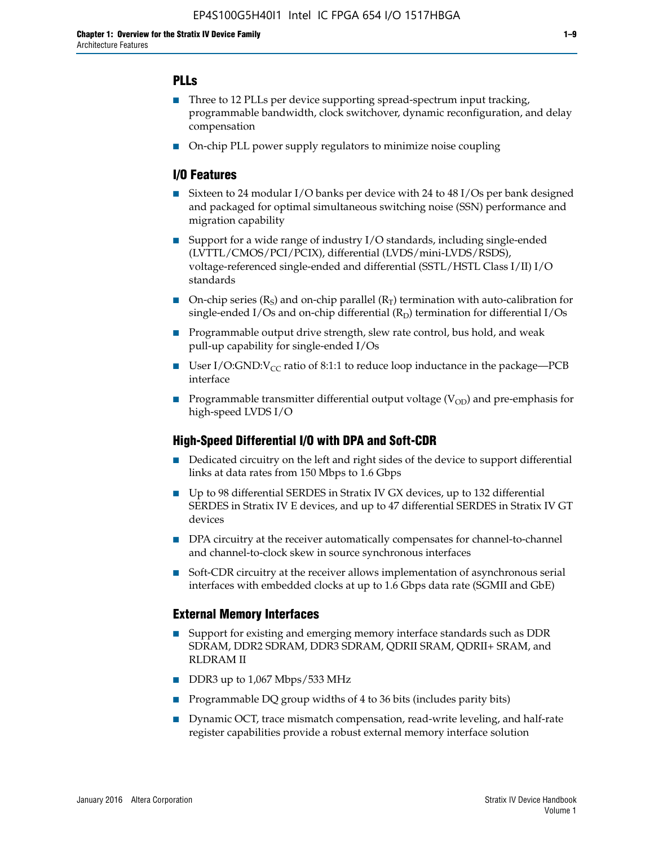#### **PLLs**

- Three to 12 PLLs per device supporting spread-spectrum input tracking, programmable bandwidth, clock switchover, dynamic reconfiguration, and delay compensation
- On-chip PLL power supply regulators to minimize noise coupling

#### **I/O Features**

- Sixteen to 24 modular I/O banks per device with 24 to 48 I/Os per bank designed and packaged for optimal simultaneous switching noise (SSN) performance and migration capability
- Support for a wide range of industry I/O standards, including single-ended (LVTTL/CMOS/PCI/PCIX), differential (LVDS/mini-LVDS/RSDS), voltage-referenced single-ended and differential (SSTL/HSTL Class I/II) I/O standards
- **O**n-chip series  $(R_S)$  and on-chip parallel  $(R_T)$  termination with auto-calibration for single-ended I/Os and on-chip differential  $(R_D)$  termination for differential I/Os
- Programmable output drive strength, slew rate control, bus hold, and weak pull-up capability for single-ended I/Os
- User I/O:GND: $V_{CC}$  ratio of 8:1:1 to reduce loop inductance in the package—PCB interface
- **■** Programmable transmitter differential output voltage ( $V_{OD}$ ) and pre-emphasis for high-speed LVDS I/O

#### **High-Speed Differential I/O with DPA and Soft-CDR**

- Dedicated circuitry on the left and right sides of the device to support differential links at data rates from 150 Mbps to 1.6 Gbps
- Up to 98 differential SERDES in Stratix IV GX devices, up to 132 differential SERDES in Stratix IV E devices, and up to 47 differential SERDES in Stratix IV GT devices
- DPA circuitry at the receiver automatically compensates for channel-to-channel and channel-to-clock skew in source synchronous interfaces
- Soft-CDR circuitry at the receiver allows implementation of asynchronous serial interfaces with embedded clocks at up to 1.6 Gbps data rate (SGMII and GbE)

#### **External Memory Interfaces**

- Support for existing and emerging memory interface standards such as DDR SDRAM, DDR2 SDRAM, DDR3 SDRAM, QDRII SRAM, QDRII+ SRAM, and RLDRAM II
- DDR3 up to 1,067 Mbps/533 MHz
- Programmable DQ group widths of 4 to 36 bits (includes parity bits)
- Dynamic OCT, trace mismatch compensation, read-write leveling, and half-rate register capabilities provide a robust external memory interface solution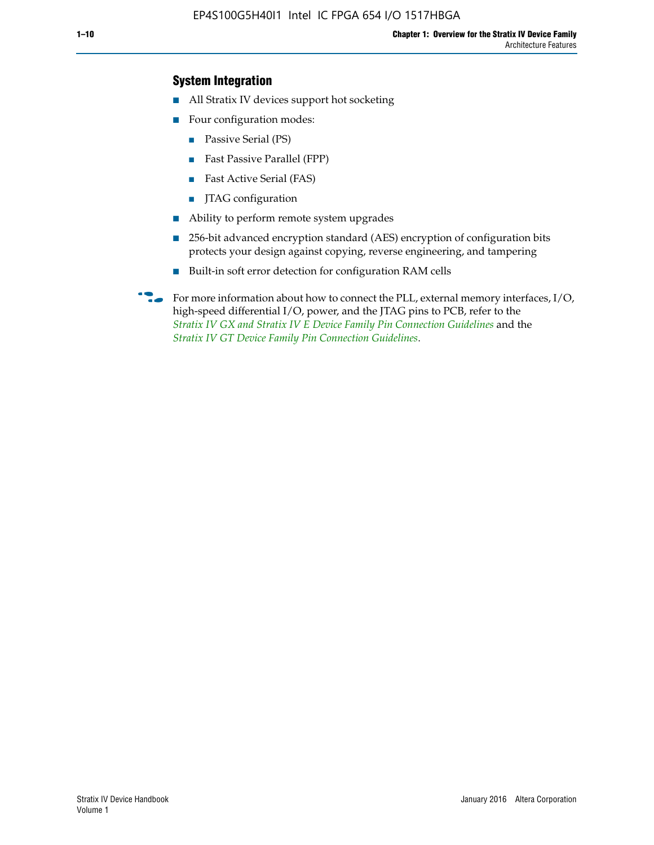#### **System Integration**

- All Stratix IV devices support hot socketing
- Four configuration modes:
	- Passive Serial (PS)
	- Fast Passive Parallel (FPP)
	- Fast Active Serial (FAS)
	- JTAG configuration
- Ability to perform remote system upgrades
- 256-bit advanced encryption standard (AES) encryption of configuration bits protects your design against copying, reverse engineering, and tampering
- Built-in soft error detection for configuration RAM cells
- For more information about how to connect the PLL, external memory interfaces,  $I/O$ , high-speed differential I/O, power, and the JTAG pins to PCB, refer to the *[Stratix IV GX and Stratix IV E Device Family Pin Connection Guidelines](http://www.altera.com/literature/dp/stratix4/PCG-01005.pdf)* and the *[Stratix IV GT Device Family Pin Connection Guidelines](http://www.altera.com/literature/dp/stratix4/PCG-01006.pdf)*.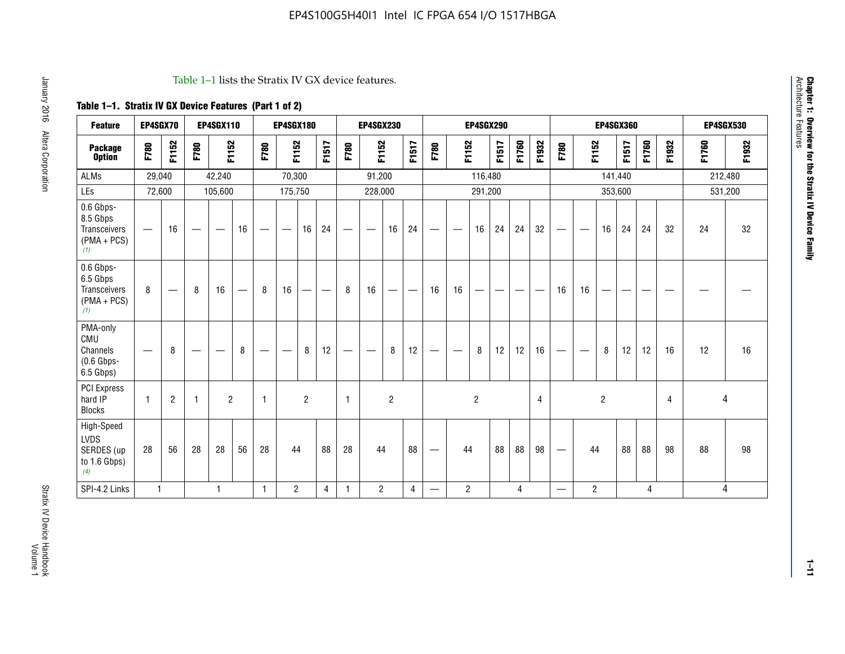#### Table 1–1 lists the Stratix IV GX device features.

### **Table 1–1. Stratix IV GX Device Features (Part 1 of 2)**

| <b>Feature</b>                                                       | EP4SGX70                       |                |                                  | <b>EP4SGX110</b> |    |                                | <b>EP4SGX180</b>               |                |       |              | <b>EP4SGX230</b>         |                          |                               |      |                | <b>EP4SGX290</b> |       |       |       |                          |                   |                | <b>EP4SGX360</b> |       |       |         | <b>EP4SGX530</b> |
|----------------------------------------------------------------------|--------------------------------|----------------|----------------------------------|------------------|----|--------------------------------|--------------------------------|----------------|-------|--------------|--------------------------|--------------------------|-------------------------------|------|----------------|------------------|-------|-------|-------|--------------------------|-------------------|----------------|------------------|-------|-------|---------|------------------|
| <b>Package</b><br><b>Option</b>                                      | F780                           | F1152          | F780                             | F1152            |    | F780                           | F1152                          |                | F1517 | F780         | F1152                    |                          | F1517                         | F780 | F1152          |                  | F1517 | F1760 | F1932 | F780                     | F1152             |                | F1517            | F1760 | F1932 | F1760   | F1932            |
| ALMs                                                                 | 29,040                         |                |                                  | 42,240           |    |                                | 70,300                         |                |       |              | 91,200                   |                          |                               |      |                | 116,480          |       |       |       |                          |                   |                | 141,440          |       |       | 212,480 |                  |
| LEs                                                                  | 72,600                         |                |                                  | 105,600          |    |                                | 175,750                        |                |       |              | 228,000                  |                          |                               |      |                | 291,200          |       |       |       |                          |                   |                | 353,600          |       |       |         | 531,200          |
| 0.6 Gbps-<br>8.5 Gbps<br>Transceivers<br>$(PMA + PCs)$<br>(1)        | $\overline{\phantom{0}}$       | 16             |                                  |                  | 16 |                                | $\qquad \qquad \longleftarrow$ | 16             | 24    |              |                          | 16                       | 24                            |      |                | 16               | 24    | 24    | 32    | $\overline{\phantom{0}}$ |                   | 16             | 24               | 24    | 32    | 24      | 32               |
| 0.6 Gbps-<br>6.5 Gbps<br><b>Transceivers</b><br>$(PMA + PCs)$<br>(1) | 8                              |                | 8                                | 16               | –  | 8                              | 16                             | -              |       | 8            | 16                       | $\overline{\phantom{0}}$ | $\overbrace{\phantom{aaaaa}}$ | 16   | 16             |                  | -     |       |       | 16                       | 16                |                |                  |       |       |         |                  |
| PMA-only<br>CMU<br>Channels<br>$(0.6$ Gbps-<br>6.5 Gbps)             | $\qquad \qquad \longleftarrow$ | 8              | $\overbrace{\phantom{12322111}}$ |                  | 8  | $\qquad \qquad \longleftarrow$ |                                | 8              | 12    | -            | $\overline{\phantom{a}}$ | 8                        | 12                            |      |                | 8                | 12    | 12    | 16    | $\overline{\phantom{0}}$ | $\hspace{0.05cm}$ | 8              | 12               | 12    | 16    | 12      | 16               |
| PCI Express<br>hard IP<br><b>Blocks</b>                              | $\mathbf{1}$                   | $\overline{2}$ |                                  | $\overline{2}$   |    | 1                              |                                | $\overline{2}$ |       | $\mathbf{1}$ |                          | $\overline{c}$           |                               |      |                | $\overline{c}$   |       |       | 4     |                          |                   | $\overline{2}$ |                  |       | 4     |         | 4                |
| High-Speed<br>LVDS<br>SERDES (up<br>to 1.6 Gbps)<br>(4)              | 28                             | 56             | 28                               | 28               | 56 | 28                             | 44                             |                | 88    | 28           | 44                       |                          | 88                            | —    | 44             |                  | 88    | 88    | 98    |                          | 44                |                | 88               | 88    | 98    | 88      | 98               |
| SPI-4.2 Links                                                        | $\mathbf{1}$                   |                |                                  | 1                |    | $\mathbf{1}$                   | $\overline{c}$                 |                | 4     | 1            | $\overline{c}$           |                          | $\overline{4}$                | —    | $\overline{2}$ |                  |       | 4     |       | $\overline{\phantom{0}}$ | $\overline{2}$    |                |                  | 4     |       |         | 4                |

**Chapter 1: Overview for the Stratix IV Device Family**

**Chapter 1: Overview for the Stratix IV Device Family**<br>Architecture Features

Architecture Features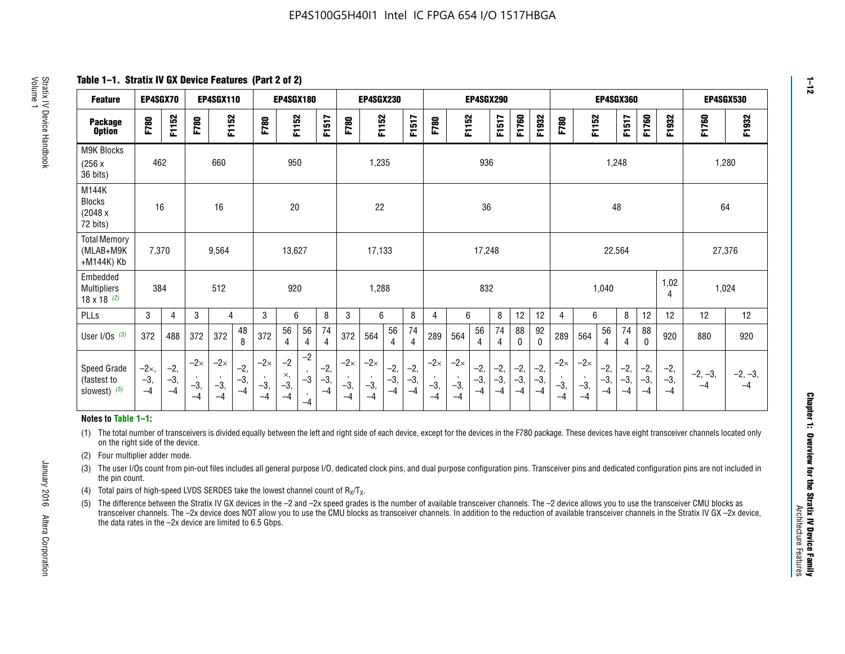**Table 1–1. Stratix IV GX Device Features (Part 2 of 2)**

| <b>Feature</b>                                       | EP4SGX70                      |                        |                             | <b>EP4SGX110</b>            |                       |                             | EP4SGX180                   |                                 |                        |                             | EP4SGX230                   |                        |                        |                             |                                        | EP4SGX290              |                        |                        |                        |                             |                             |                        | EP4SGX360          |                        |                        | <b>EP4SGX530</b>  |                   |
|------------------------------------------------------|-------------------------------|------------------------|-----------------------------|-----------------------------|-----------------------|-----------------------------|-----------------------------|---------------------------------|------------------------|-----------------------------|-----------------------------|------------------------|------------------------|-----------------------------|----------------------------------------|------------------------|------------------------|------------------------|------------------------|-----------------------------|-----------------------------|------------------------|--------------------|------------------------|------------------------|-------------------|-------------------|
| <b>Package</b><br><b>Option</b>                      | F780                          | F1152                  | F780                        | F1152                       |                       | F780                        | F1152                       |                                 | F1517                  | F780                        | F1152                       |                        | F1517                  | F780                        | F1152                                  |                        | F1517                  | F1760                  | F1932                  | F780                        | F1152                       |                        | F1517              | F1760                  | F1932                  | F1760             | F1932             |
| M9K Blocks<br>(256x)<br>36 bits)                     | 462                           |                        |                             | 660                         |                       |                             | 950                         |                                 |                        |                             | 1,235                       |                        |                        |                             |                                        | 936                    |                        |                        |                        |                             |                             |                        | 1,248              |                        |                        | 1,280             |                   |
| M144K<br>Blocks<br>(2048 x)<br>72 bits)              | 16                            |                        |                             | 16                          |                       |                             | 20                          |                                 |                        |                             | 22                          |                        |                        |                             |                                        | 36                     |                        |                        |                        |                             |                             | 48                     |                    |                        |                        | 64                |                   |
| <b>Total Memory</b><br>(MLAB+M9K<br>+M144K) Kb       | 7,370                         |                        |                             | 9,564                       |                       |                             | 13,627                      |                                 |                        |                             | 17,133                      |                        |                        |                             |                                        | 17,248                 |                        |                        |                        |                             |                             | 22,564                 |                    |                        |                        | 27,376            |                   |
| Embedded<br><b>Multipliers</b><br>$18 \times 18$ (2) | 384                           |                        |                             | 512                         |                       |                             | 920                         |                                 |                        |                             | 1,288                       |                        |                        |                             |                                        | 832                    |                        |                        |                        |                             |                             | 1,040                  |                    |                        | 1,02<br>4              | 1,024             |                   |
| PLLs                                                 | 3                             | 4                      | 3                           | 4                           |                       | 3                           | 6                           |                                 | 8                      | 3                           | 6                           |                        | $\, 8$                 | 4                           | 6                                      |                        | 8                      | 12                     | 12                     | 4                           | 6                           |                        | 8                  | 12                     | 12                     | 12                | 12                |
| User I/Os $(3)$                                      | 372                           | 488                    | 372                         | 372                         | 48<br>8               | 372                         | 56<br>4                     | 56<br>4                         | 74<br>4                | 372                         | 564                         | 56<br>4                | 74<br>$\overline{4}$   | 289                         | 564                                    | 56<br>4                | 74<br>4                | 88<br>0                | 92<br>$\mathbf 0$      | 289                         | 564                         | 56<br>4                | 74                 | 88<br>$\mathbf{0}$     | 920                    | 880               | 920               |
| Speed Grade<br>(fastest to<br>slowest) $(5)$         | $-2\times$ ,<br>$-3,$<br>$-4$ | $-2,$<br>$-3,$<br>$-4$ | $-2\times$<br>$-3,$<br>$-4$ | $-2\times$<br>$-3,$<br>$-4$ | $-2,$<br>$-3$<br>$-4$ | $-2\times$<br>$-3,$<br>$-4$ | $-2$<br>×,<br>$-3,$<br>$-4$ | $-2$<br>$-3$<br>$\cdot$<br>$-4$ | $-2,$<br>$-3,$<br>$-4$ | $-2\times$<br>$-3,$<br>$-4$ | $-2\times$<br>$-3,$<br>$-4$ | $-2,$<br>$-3,$<br>$-4$ | $-2,$<br>$-3,$<br>$-4$ | $-2\times$<br>$-3,$<br>$-4$ | $-2\times$<br>$\cdot$<br>$-3,$<br>$-4$ | $-2,$<br>$-3,$<br>$-4$ | $-2,$<br>$-3,$<br>$-4$ | $-2,$<br>$-3,$<br>$-4$ | $-2,$<br>$-3,$<br>$-4$ | $-2\times$<br>$-3,$<br>$-4$ | $-2\times$<br>$-3,$<br>$-4$ | $-2,$<br>$-3,$<br>$-4$ | -2,<br>$-3,$<br>-4 | $-2,$<br>$-3,$<br>$-4$ | $-2,$<br>$-3,$<br>$-4$ | $-2, -3,$<br>$-4$ | $-2, -3,$<br>$-4$ |

#### **Notes to Table 1–1:**

(1) The total number of transceivers is divided equally between the left and right side of each device, except for the devices in the F780 package. These devices have eight transceiver channels located only on the right side of the device.

- (2) Four multiplier adder mode.
- (3) The user I/Os count from pin-out files includes all general purpose I/O, dedicated clock pins, and dual purpose configuration pins. Transceiver pins and dedicated configuration pins are not included in the pin count.
- (4) Total pairs of high-speed LVDS SERDES take the lowest channel count of  $R_X/T_X$ .
- (5) The difference between the Stratix IV GX devices in the –2 and –2x speed grades is the number of available transceiver channels. The –2 device allows you to use the transceiver CMU blocks as transceiver channels. The –2x device does NOT allow you to use the CMU blocks as transceiver channels. In addition to the reduction of available transceiver channels in the Stratix IV GX –2x device, the data rates in the –2x device are limited to 6.5 Gbps.

January 2016 Altera Corporation

Altera Corporation

January 2016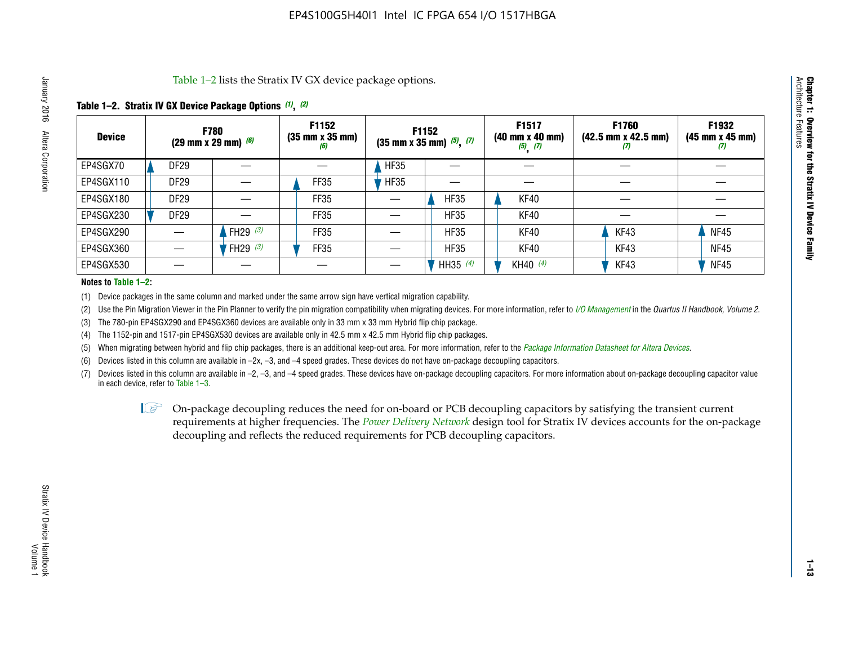Table 1–2 lists the Stratix IV GX device package options.

#### **Table 1–2. Stratix IV GX Device Package Options** *(1)***,** *(2)*

| <b>Device</b> | <b>F780</b><br>(29 mm x 29 mm) $(6)$ |            | F1152<br>$(35 \, \text{mm} \times 35 \, \text{mm})$<br>(6) | F1152<br>$(35$ mm x 35 mm) $(5)$ , $(7)$ |             | F1517<br>$(40 \, \text{mm} \times 40 \, \text{mm})$<br>$(5)$ $(7)$ | <b>F1760</b><br>$(42.5 \text{ mm} \times 42.5 \text{ mm})$<br>$\boldsymbol{U}$ | F1932<br>$(45 \, \text{mm} \times 45 \, \text{mm})$<br>(7) |
|---------------|--------------------------------------|------------|------------------------------------------------------------|------------------------------------------|-------------|--------------------------------------------------------------------|--------------------------------------------------------------------------------|------------------------------------------------------------|
| EP4SGX70      | <b>DF29</b>                          |            |                                                            | <b>HF35</b>                              |             |                                                                    |                                                                                |                                                            |
| EP4SGX110     | DF <sub>29</sub>                     |            | FF35                                                       | <b>HF35</b>                              |             |                                                                    |                                                                                |                                                            |
| EP4SGX180     | <b>DF29</b>                          |            | FF35                                                       |                                          | <b>HF35</b> | KF40                                                               |                                                                                |                                                            |
| EP4SGX230     | <b>DF29</b>                          |            | FF35                                                       |                                          | <b>HF35</b> | KF40                                                               |                                                                                |                                                            |
| EP4SGX290     |                                      | FH29 $(3)$ | <b>FF35</b>                                                |                                          | <b>HF35</b> | KF40                                                               | KF43                                                                           | <b>NF45</b>                                                |
| EP4SGX360     |                                      | FH29 $(3)$ | FF35                                                       |                                          | <b>HF35</b> | KF40                                                               | KF43                                                                           | <b>NF45</b>                                                |
| EP4SGX530     |                                      |            |                                                            |                                          | HH35 $(4)$  | KH40 (4)                                                           | KF43                                                                           | <b>NF45</b>                                                |

#### **Notes to Table 1–2:**

(1) Device packages in the same column and marked under the same arrow sign have vertical migration capability.

(2) Use the Pin Migration Viewer in the Pin Planner to verify the pin migration compatibility when migrating devices. For more information, refer to *[I/O Management](http://www.altera.com/literature/hb/qts/qts_qii52013.pdf)* in the *Quartus II Handbook, Volume 2*.

(3) The 780-pin EP4SGX290 and EP4SGX360 devices are available only in 33 mm x 33 mm Hybrid flip chip package.

(4) The 1152-pin and 1517-pin EP4SGX530 devices are available only in 42.5 mm x 42.5 mm Hybrid flip chip packages.

(5) When migrating between hybrid and flip chip packages, there is an additional keep-out area. For more information, refer to the *[Package Information Datasheet for Altera Devices](http://www.altera.com/literature/ds/dspkg.pdf)*.

(6) Devices listed in this column are available in –2x, –3, and –4 speed grades. These devices do not have on-package decoupling capacitors.

(7) Devices listed in this column are available in –2, –3, and –4 speed grades. These devices have on-package decoupling capacitors. For more information about on-package decoupling capacitor value in each device, refer to Table 1–3.

 $\mathbb{L}$ s On-package decoupling reduces the need for on-board or PCB decoupling capacitors by satisfying the transient current requirements at higher frequencies. The *[Power Delivery Network](http://www.altera.com/literature/ug/pdn_tool_stxiv.zip)* design tool for Stratix IV devices accounts for the on-package decoupling and reflects the reduced requirements for PCB decoupling capacitors.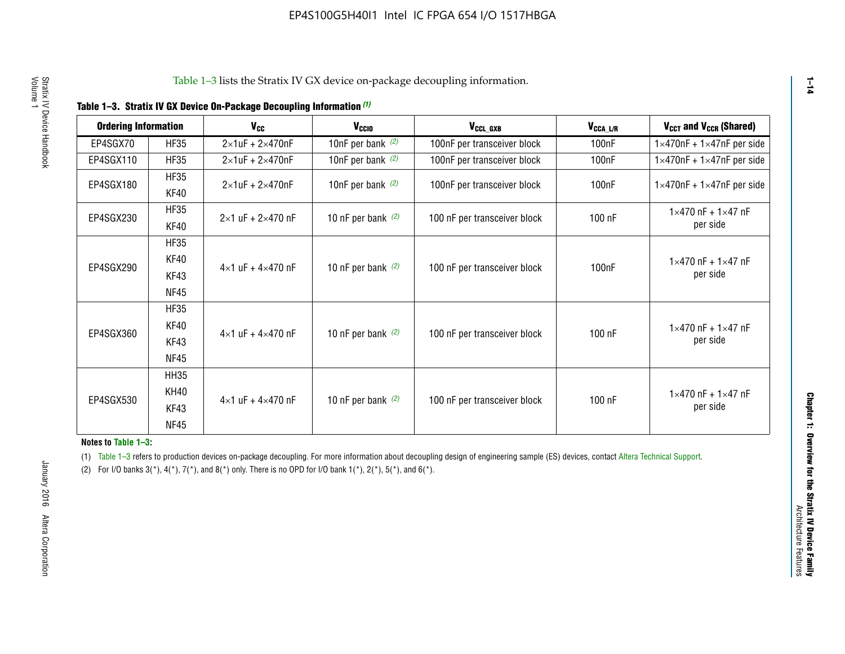|  |  | Table 1-3. Stratix IV GX Device On-Package Decoupling Information (1) |  |  |
|--|--|-----------------------------------------------------------------------|--|--|
|--|--|-----------------------------------------------------------------------|--|--|

| <b>Ordering Information</b> |                     | $V_{cc}$                            | V <sub>CCIO</sub>    | V <sub>CCL_GXB</sub>         | $V_{\texttt{CCA}\_\textsf{L/R}}$ | V <sub>CCT</sub> and V <sub>CCR</sub> (Shared)   |
|-----------------------------|---------------------|-------------------------------------|----------------------|------------------------------|----------------------------------|--------------------------------------------------|
| EP4SGX70                    | <b>HF35</b>         | $2\times1$ uF + $2\times470$ nF     | 10nF per bank $(2)$  | 100nF per transceiver block  | 100 <sub>n</sub> F               | $1\times470$ nF + $1\times47$ nF per side        |
| EP4SGX110                   | <b>HF35</b>         | $2\times1$ uF + $2\times470$ nF     | 10nF per bank $(2)$  | 100nF per transceiver block  | 100 <sub>n</sub> F               | $1\times470$ nF + $1\times47$ nF per side        |
| EP4SGX180                   | <b>HF35</b><br>KF40 | $2\times1$ uF + $2\times470$ nF     | 10nF per bank $(2)$  | 100nF per transceiver block  | 100 <sub>n</sub> F               | $1\times470$ nF + $1\times47$ nF per side        |
| EP4SGX230                   | <b>HF35</b><br>KF40 | $2 \times 1$ uF + $2 \times 470$ nF | 10 nF per bank $(2)$ | 100 nF per transceiver block | 100 nF                           | $1 \times 470$ nF + $1 \times 47$ nF<br>per side |
|                             | <b>HF35</b>         |                                     |                      |                              |                                  |                                                  |
| EP4SGX290                   | KF40<br>KF43        | $4\times1$ uF + $4\times470$ nF     | 10 nF per bank $(2)$ | 100 nF per transceiver block | 100 <sub>n</sub> F               | $1 \times 470$ nF + $1 \times 47$ nF<br>per side |
|                             | <b>NF45</b>         |                                     |                      |                              |                                  |                                                  |
|                             | <b>HF35</b>         |                                     |                      |                              |                                  |                                                  |
| EP4SGX360                   | KF40                | $4 \times 1$ uF + $4 \times 470$ nF | 10 nF per bank $(2)$ | 100 nF per transceiver block | 100 nF                           | $1 \times 470$ nF + $1 \times 47$ nF             |
|                             | KF43                |                                     |                      |                              |                                  | per side                                         |
|                             | <b>NF45</b>         |                                     |                      |                              |                                  |                                                  |
|                             | <b>HH35</b>         |                                     |                      |                              |                                  |                                                  |
|                             | KH40                |                                     |                      |                              |                                  | $1 \times 470$ nF + $1 \times 47$ nF             |
| EP4SGX530                   | KF43                | $4\times1$ uF + $4\times470$ nF     | 10 nF per bank $(2)$ | 100 nF per transceiver block | 100 nF                           | per side                                         |
|                             | <b>NF45</b>         |                                     |                      |                              |                                  |                                                  |

**Notes to Table 1–3:**

(1) Table 1-3 refers to production devices on-package decoupling. For more information about decoupling design of engineering sample (ES) devices, contact [Altera Technical Support](http://mysupport.altera.com/eservice/login.asp).

(2) For I/O banks  $3(*)$ ,  $4(*)$ ,  $7(*)$ , and  $8(*)$  only. There is no OPD for I/O bank  $1(*)$ ,  $2(*)$ ,  $5(*)$ , and  $6(*)$ .

**1–14**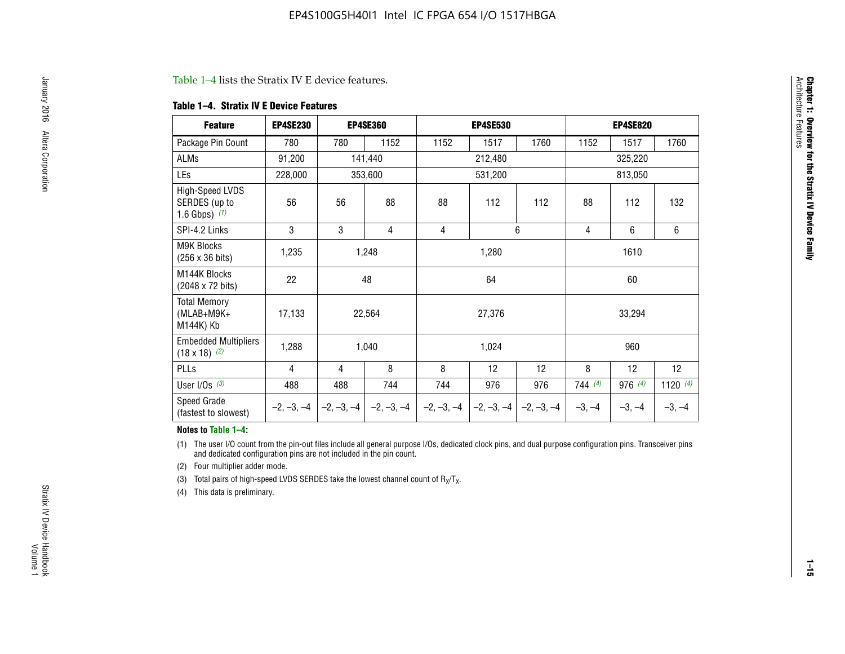#### Table 1–4 lists the Stratix IV E device features.

#### **Table 1–4. Stratix IV E Device Features**

| <b>Feature</b>                                      | <b>EP4SE230</b> |     | <b>EP4SE360</b>                        |              | <b>EP4SE530</b> |              |          | <b>EP4SE820</b> |            |  |
|-----------------------------------------------------|-----------------|-----|----------------------------------------|--------------|-----------------|--------------|----------|-----------------|------------|--|
| Package Pin Count                                   | 780             | 780 | 1152                                   | 1152         | 1517            | 1760         | 1152     | 1517            | 1760       |  |
| ALMs                                                | 91,200          |     | 141,440                                |              | 212,480         |              |          | 325,220         |            |  |
| LEs                                                 | 228,000         |     | 353,600                                |              | 531,200         |              |          | 813,050         |            |  |
| High-Speed LVDS<br>SERDES (up to<br>1.6 Gbps) $(1)$ | 56              | 56  | 88                                     | 88           | 112             | 112          | 88       | 112             | 132        |  |
| SPI-4.2 Links                                       | 3               | 3   | 4                                      | 4            |                 | 6            | 4        | 6               | 6          |  |
| <b>M9K Blocks</b><br>(256 x 36 bits)                | 1,235           |     | 1,248                                  |              | 1,280           |              |          | 1610            |            |  |
| M144K Blocks<br>(2048 x 72 bits)                    | 22              |     | 48                                     |              | 64              |              |          | 60              |            |  |
| <b>Total Memory</b><br>$(MLAB+M9K+$<br>M144K) Kb    | 17,133          |     | 22,564                                 |              | 27,376          |              |          | 33,294          |            |  |
| <b>Embedded Multipliers</b><br>$(18 \times 18)$ (2) | 1,288           |     | 1,040                                  |              | 1,024           |              |          | 960             |            |  |
| PLLs                                                | 4               | 4   | 8                                      | 8            | 12              | 12           | 8        | 12              | 12         |  |
| User I/Os $(3)$                                     | 488             | 488 | 744                                    | 744          | 976             | 976          | 744(4)   | 976 (4)         | 1120 $(4)$ |  |
| Speed Grade<br>(fastest to slowest)                 |                 |     | $-2, -3, -4$ $-2, -3, -4$ $-2, -3, -4$ | $-2, -3, -4$ | $-2, -3, -4$    | $-2, -3, -4$ | $-3, -4$ | $-3, -4$        | $-3, -4$   |  |

#### **Notes to Table 1–4:**

(1) The user I/O count from the pin-out files include all general purpose I/Os, dedicated clock pins, and dual purpose configuration pins. Transceiver pins and dedicated configuration pins are not included in the pin count.

(2) Four multiplier adder mode.

(3) Total pairs of high-speed LVDS SERDES take the lowest channel count of  $R_X/T_X$ .

(4) This data is preliminary.

Architecture Features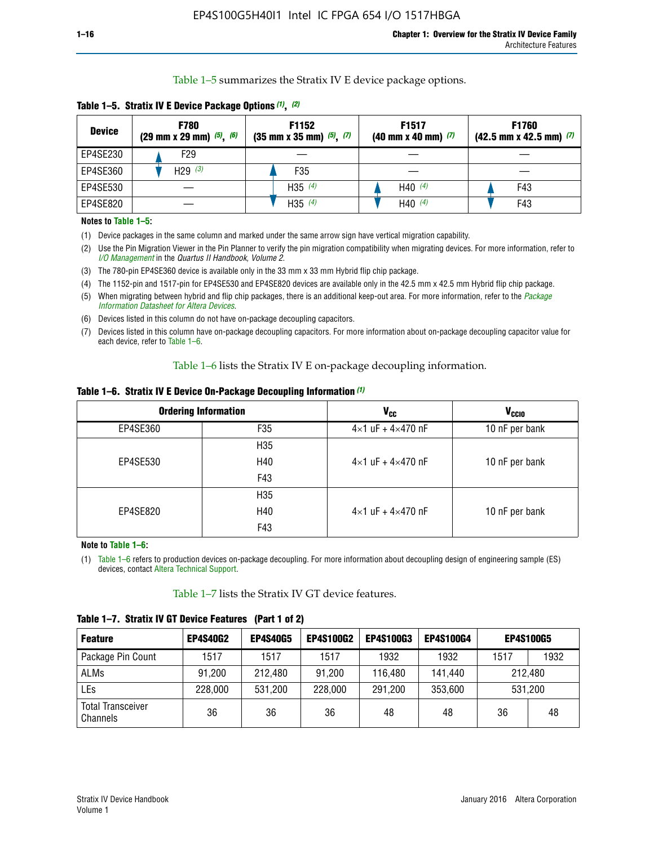Table 1–5 summarizes the Stratix IV E device package options.

| <b>Device</b> | <b>F780</b><br>$(29 \text{ mm} \times 29 \text{ mm})$ $(5)$ , $(6)$ | F1152<br>$(35 \text{ mm} \times 35 \text{ mm})$ $(5)$ , $(7)$ | F <sub>1517</sub><br>$(40 \text{ mm} \times 40 \text{ mm})$ (7) | <b>F1760</b><br>$(42.5$ mm x 42.5 mm) $(7)$ |
|---------------|---------------------------------------------------------------------|---------------------------------------------------------------|-----------------------------------------------------------------|---------------------------------------------|
| EP4SE230      | F29                                                                 |                                                               |                                                                 |                                             |
| EP4SE360      | H <sub>29</sub> $(3)$                                               | F35                                                           |                                                                 |                                             |
| EP4SE530      |                                                                     | H35 $(4)$                                                     | H40 $(4)$                                                       | F43                                         |
| EP4SE820      |                                                                     | H35 $(4)$                                                     | H40 $(4)$                                                       | F43                                         |

**Table 1–5. Stratix IV E Device Package Options** *(1)***,** *(2)*

#### **Notes to Table 1–5:**

(1) Device packages in the same column and marked under the same arrow sign have vertical migration capability.

(2) Use the Pin Migration Viewer in the Pin Planner to verify the pin migration compatibility when migrating devices. For more information, refer to *[I/O Management](http://www.altera.com/literature/hb/qts/qts_qii52013.pdf)* in the *Quartus II Handbook, Volume 2*.

(3) The 780-pin EP4SE360 device is available only in the 33 mm x 33 mm Hybrid flip chip package.

(4) The 1152-pin and 1517-pin for EP4SE530 and EP4SE820 devices are available only in the 42.5 mm x 42.5 mm Hybrid flip chip package.

(5) When migrating between hybrid and flip chip packages, there is an additional keep-out area. For more information, refer to the *[Package](http://www.altera.com/literature/ds/dspkg.pdf)  [Information Datasheet for Altera Devices](http://www.altera.com/literature/ds/dspkg.pdf)*.

(6) Devices listed in this column do not have on-package decoupling capacitors.

(7) Devices listed in this column have on-package decoupling capacitors. For more information about on-package decoupling capacitor value for each device, refer to Table 1–6.

Table 1–6 lists the Stratix IV E on-package decoupling information.

| Table 1–6. Stratix IV E Device On-Package Decoupling Information (1) |  |  |  |  |  |
|----------------------------------------------------------------------|--|--|--|--|--|
|----------------------------------------------------------------------|--|--|--|--|--|

|          | <b>Ordering Information</b> | V <sub>cc</sub>                     | <b>V<sub>CCIO</sub></b> |
|----------|-----------------------------|-------------------------------------|-------------------------|
| EP4SE360 | F35                         | $4 \times 1$ uF + $4 \times 470$ nF | 10 nF per bank          |
|          | H <sub>35</sub>             |                                     |                         |
| EP4SE530 | H40                         | $4 \times 1$ uF + $4 \times 470$ nF | 10 nF per bank          |
|          | F43                         |                                     |                         |
|          | H <sub>35</sub>             |                                     |                         |
| EP4SE820 | H40                         | $4 \times 1$ uF + $4 \times 470$ nF | 10 nF per bank          |
|          | F43                         |                                     |                         |

**Note to Table 1–6:**

(1) Table 1–6 refers to production devices on-package decoupling. For more information about decoupling design of engineering sample (ES) devices, contact [Altera Technical Support](http://mysupport.altera.com/eservice/login.asp).

Table 1–7 lists the Stratix IV GT device features.

| <b>Feature</b>                       | <b>EP4S40G2</b> | <b>EP4S40G5</b> | <b>EP4S100G2</b> | <b>EP4S100G3</b> | <b>EP4S100G4</b> | <b>EP4S100G5</b> |         |
|--------------------------------------|-----------------|-----------------|------------------|------------------|------------------|------------------|---------|
| Package Pin Count                    | 1517            | 1517            | 1517             | 1932             | 1932             | 1517             | 1932    |
| <b>ALMs</b>                          | 91,200          | 212,480         | 91,200           | 116,480          | 141,440          |                  | 212.480 |
| LEs                                  | 228,000         | 531,200         | 228,000          | 291,200          | 353,600          |                  | 531,200 |
| <b>Total Transceiver</b><br>Channels | 36              | 36              | 36               | 48               | 48               | 36               | 48      |

**Table 1–7. Stratix IV GT Device Features (Part 1 of 2)**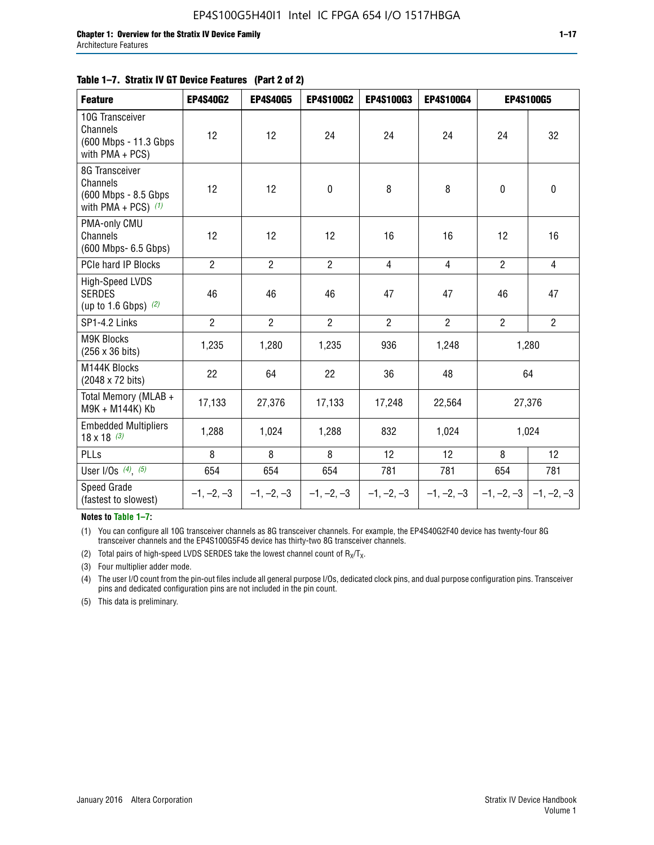#### **Table 1–7. Stratix IV GT Device Features (Part 2 of 2)**

| <b>Feature</b>                                                              | <b>EP4S40G2</b> | <b>EP4S40G5</b> | <b>EP4S100G2</b> | <b>EP4S100G3</b> | <b>EP4S100G4</b> |                | <b>EP4S100G5</b>          |
|-----------------------------------------------------------------------------|-----------------|-----------------|------------------|------------------|------------------|----------------|---------------------------|
| 10G Transceiver<br>Channels<br>(600 Mbps - 11.3 Gbps<br>with PMA + PCS)     | 12              | 12              | 24               | 24               | 24               | 24             | 32                        |
| 8G Transceiver<br>Channels<br>(600 Mbps - 8.5 Gbps<br>with PMA + PCS) $(1)$ | 12              | 12              | $\pmb{0}$        | 8                | 8                | $\mathbf 0$    | 0                         |
| PMA-only CMU<br>Channels<br>(600 Mbps- 6.5 Gbps)                            | 12              | 12              | 12               | 16               | 16               | 12             | 16                        |
| PCIe hard IP Blocks                                                         | $\overline{2}$  | $\overline{2}$  | $\overline{2}$   | $\overline{4}$   | $\overline{4}$   | $\overline{2}$ | $\overline{4}$            |
| <b>High-Speed LVDS</b><br><b>SERDES</b><br>(up to 1.6 Gbps) $(2)$           | 46              | 46              | 46               | 47               | 47               | 46             | 47                        |
| SP1-4.2 Links                                                               | $\overline{2}$  | $\overline{2}$  | $\overline{2}$   | $\overline{2}$   | $\overline{2}$   | $\overline{2}$ | $\overline{2}$            |
| <b>M9K Blocks</b><br>(256 x 36 bits)                                        | 1,235           | 1,280           | 1,235            | 936              | 1,248            |                | 1,280                     |
| M144K Blocks<br>(2048 x 72 bits)                                            | 22              | 64              | 22               | 36               | 48               |                | 64                        |
| Total Memory (MLAB +<br>M9K + M144K) Kb                                     | 17,133          | 27,376          | 17,133           | 17,248           | 22,564           |                | 27,376                    |
| <b>Embedded Multipliers</b><br>$18 \times 18^{(3)}$                         | 1,288           | 1,024           | 1,288            | 832              | 1,024            |                | 1,024                     |
| PLLs                                                                        | 8               | 8               | 8                | 12               | 12               | 8              | 12                        |
| User I/Os $(4)$ , $(5)$                                                     | 654             | 654             | 654              | 781              | 781              | 654            | 781                       |
| Speed Grade<br>(fastest to slowest)                                         | $-1, -2, -3$    | $-1, -2, -3$    | $-1, -2, -3$     | $-1, -2, -3$     | $-1, -2, -3$     |                | $-1, -2, -3$ $-1, -2, -3$ |

**Notes to Table 1–7:**

(1) You can configure all 10G transceiver channels as 8G transceiver channels. For example, the EP4S40G2F40 device has twenty-four 8G transceiver channels and the EP4S100G5F45 device has thirty-two 8G transceiver channels.

(2) Total pairs of high-speed LVDS SERDES take the lowest channel count of  $R_X/T_X$ .

(3) Four multiplier adder mode.

(4) The user I/O count from the pin-out files include all general purpose I/Os, dedicated clock pins, and dual purpose configuration pins. Transceiver pins and dedicated configuration pins are not included in the pin count.

(5) This data is preliminary.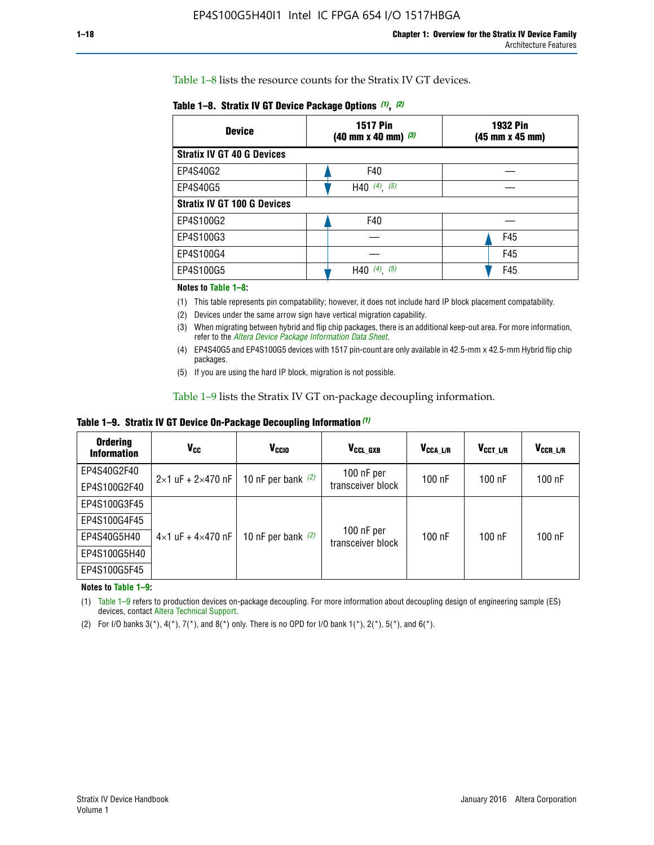Table 1–8 lists the resource counts for the Stratix IV GT devices.

| <b>Device</b>                      | <b>1517 Pin</b><br><b>1932 Pin</b><br>$(40 \text{ mm} \times 40 \text{ mm})$ (3)<br>(45 mm x 45 mm) |     |  |
|------------------------------------|-----------------------------------------------------------------------------------------------------|-----|--|
| <b>Stratix IV GT 40 G Devices</b>  |                                                                                                     |     |  |
| EP4S40G2                           | F40                                                                                                 |     |  |
| EP4S40G5                           | H40 $(4)$ , $(5)$                                                                                   |     |  |
| <b>Stratix IV GT 100 G Devices</b> |                                                                                                     |     |  |
| EP4S100G2                          | F40                                                                                                 |     |  |
| EP4S100G3                          |                                                                                                     | F45 |  |
| EP4S100G4                          | F45                                                                                                 |     |  |
| EP4S100G5                          | $(4)$ $(5)$<br>H40                                                                                  | F45 |  |

#### **Notes to Table 1–8:**

(1) This table represents pin compatability; however, it does not include hard IP block placement compatability.

- (2) Devices under the same arrow sign have vertical migration capability.
- (3) When migrating between hybrid and flip chip packages, there is an additional keep-out area. For more information, refer to the *[Altera Device Package Information Data Sheet](http://www.altera.com/literature/ds/dspkg.pdf)*.
- (4) EP4S40G5 and EP4S100G5 devices with 1517 pin-count are only available in 42.5-mm x 42.5-mm Hybrid flip chip packages.
- (5) If you are using the hard IP block, migration is not possible.

Table 1–9 lists the Stratix IV GT on-package decoupling information.

**Table 1–9. Stratix IV GT Device On-Package Decoupling Information** *(1)*

| <b>Ordering</b><br><b>Information</b> | Vcc                                 | <b>V<sub>CCIO</sub></b> | V <sub>CCL GXB</sub>            | V <sub>CCA L/R</sub> | V <sub>CCT L/R</sub> | V <sub>CCR L/R</sub> |
|---------------------------------------|-------------------------------------|-------------------------|---------------------------------|----------------------|----------------------|----------------------|
| EP4S40G2F40                           | $2 \times 1$ uF + $2 \times 470$ nF | 10 nF per bank $(2)$    | 100 nF per<br>transceiver block | 100 nF               | $100$ nF             | $100$ nF             |
| EP4S100G2F40                          |                                     |                         |                                 |                      |                      |                      |
| EP4S100G3F45                          |                                     | 10 nF per bank $(2)$    | 100 nF per<br>transceiver block | 100 nF               | $100$ nF             | $100$ nF             |
| EP4S100G4F45                          |                                     |                         |                                 |                      |                      |                      |
| EP4S40G5H40                           | $4 \times 1$ uF + $4 \times 470$ nF |                         |                                 |                      |                      |                      |
| EP4S100G5H40                          |                                     |                         |                                 |                      |                      |                      |
| EP4S100G5F45                          |                                     |                         |                                 |                      |                      |                      |

**Notes to Table 1–9:**

(1) Table 1–9 refers to production devices on-package decoupling. For more information about decoupling design of engineering sample (ES) devices, contact [Altera Technical Support](http://mysupport.altera.com/eservice/login.asp).

(2) For I/O banks  $3(*)$ ,  $4(*)$ ,  $7(*)$ , and  $8(*)$  only. There is no OPD for I/O bank  $1(*)$ ,  $2(*)$ ,  $5(*)$ , and  $6(*)$ .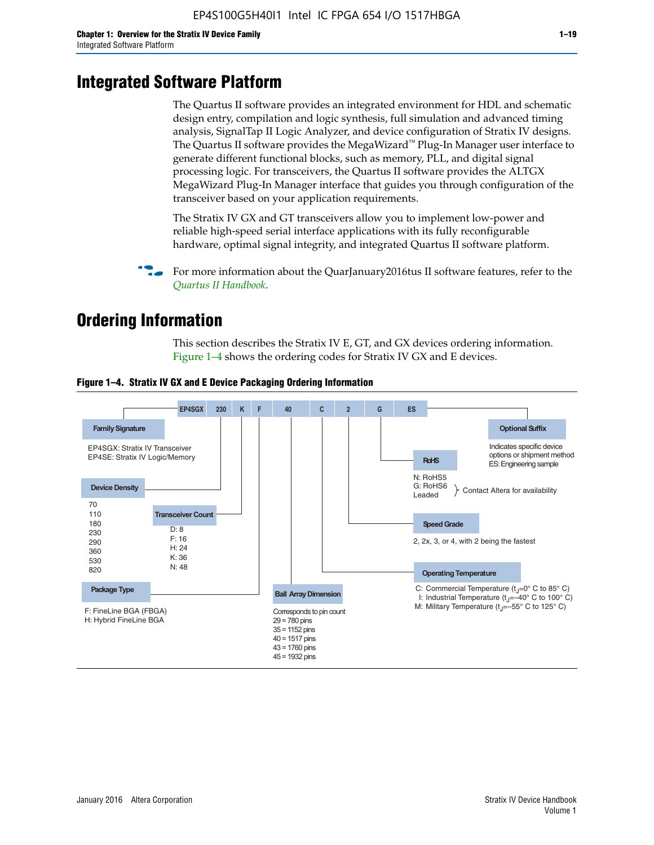# **Integrated Software Platform**

The Quartus II software provides an integrated environment for HDL and schematic design entry, compilation and logic synthesis, full simulation and advanced timing analysis, SignalTap II Logic Analyzer, and device configuration of Stratix IV designs. The Quartus II software provides the MegaWizard<sup> $M$ </sup> Plug-In Manager user interface to generate different functional blocks, such as memory, PLL, and digital signal processing logic. For transceivers, the Quartus II software provides the ALTGX MegaWizard Plug-In Manager interface that guides you through configuration of the transceiver based on your application requirements.

The Stratix IV GX and GT transceivers allow you to implement low-power and reliable high-speed serial interface applications with its fully reconfigurable hardware, optimal signal integrity, and integrated Quartus II software platform.

For more information about the QuarJanuary2016tus II software features, refer to the *[Quartus II Handbook](http://www.altera.com/literature/lit-qts.jsp)*.

# **Ordering Information**

This section describes the Stratix IV E, GT, and GX devices ordering information. Figure 1–4 shows the ordering codes for Stratix IV GX and E devices.



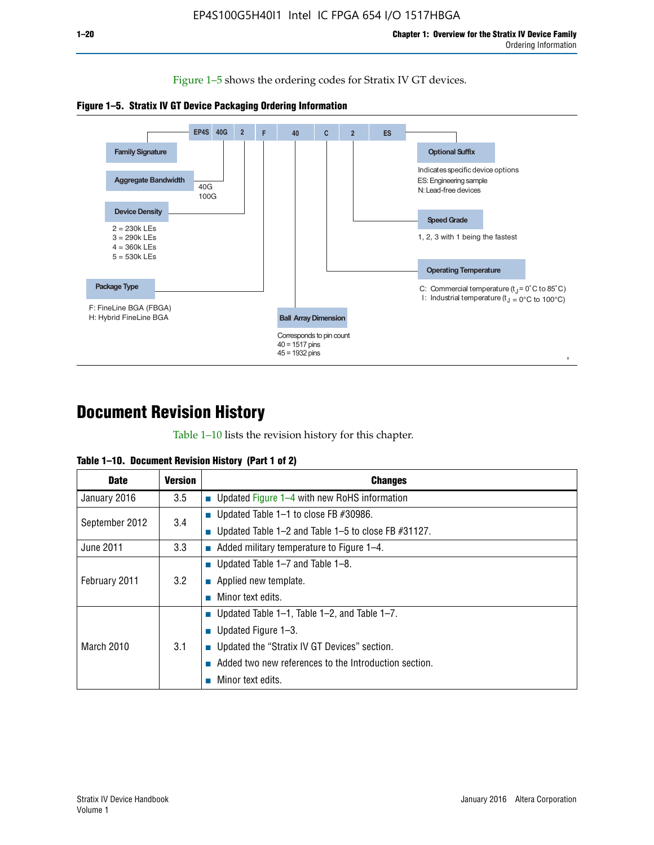Figure 1–5 shows the ordering codes for Stratix IV GT devices.





# **Document Revision History**

Table 1–10 lists the revision history for this chapter.

|  | Table 1–10. Document Revision History (Part 1 of 2) |  |  |
|--|-----------------------------------------------------|--|--|
|--|-----------------------------------------------------|--|--|

| <b>Date</b>       | <b>Version</b> | <b>Changes</b>                                              |
|-------------------|----------------|-------------------------------------------------------------|
| January 2016      | 3.5            | ■ Updated Figure 1–4 with new RoHS information              |
| September 2012    | 3.4            | ■ Updated Table 1–1 to close FB $#30986$ .                  |
|                   |                | Updated Table $1-2$ and Table $1-5$ to close FB $\#31127$ . |
| June 2011         | 3.3            | $\blacksquare$ Added military temperature to Figure 1–4.    |
| February 2011     | 3.2            | ■ Updated Table 1–7 and Table 1–8.                          |
|                   |                | $\blacksquare$ Applied new template.                        |
|                   |                | Minor text edits.                                           |
| <b>March 2010</b> |                | <b>Updated Table 1–1, Table 1–2, and Table 1–7.</b>         |
|                   | 3.1            | <b>U</b> Updated Figure 1–3.                                |
|                   |                | ■ Updated the "Stratix IV GT Devices" section.              |
|                   |                | Added two new references to the Introduction section.       |
|                   |                | Minor text edits.                                           |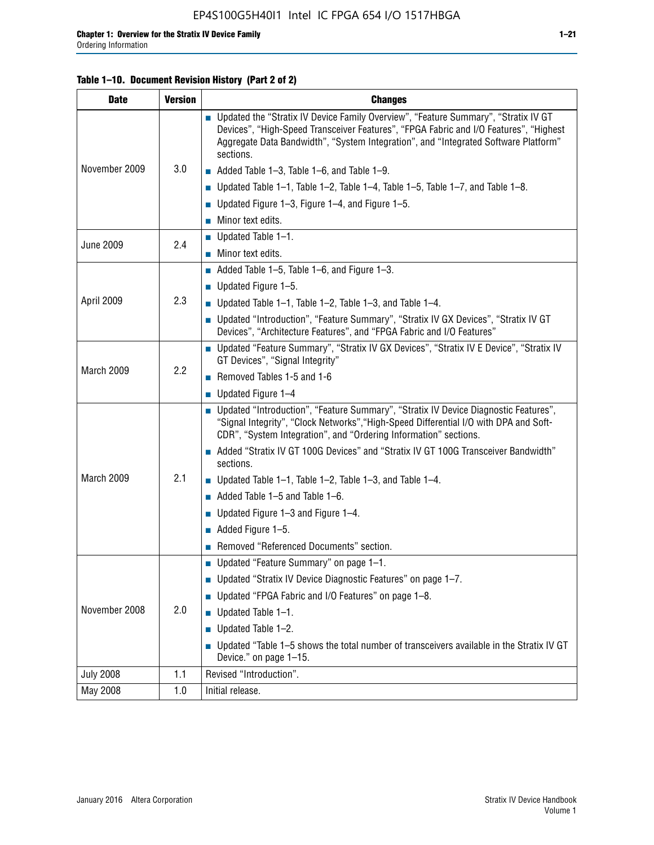#### **Table 1–10. Document Revision History (Part 2 of 2)**

| <b>Date</b>      | <b>Version</b> | <b>Changes</b>                                                                                                                                                                                                                                                                    |  |  |
|------------------|----------------|-----------------------------------------------------------------------------------------------------------------------------------------------------------------------------------------------------------------------------------------------------------------------------------|--|--|
| November 2009    | 3.0            | ■ Updated the "Stratix IV Device Family Overview", "Feature Summary", "Stratix IV GT<br>Devices", "High-Speed Transceiver Features", "FPGA Fabric and I/O Features", "Highest<br>Aggregate Data Bandwidth", "System Integration", and "Integrated Software Platform"<br>sections. |  |  |
|                  |                | $\blacksquare$ Added Table 1-3, Table 1-6, and Table 1-9.                                                                                                                                                                                                                         |  |  |
|                  |                | $\blacksquare$ Updated Table 1-1, Table 1-2, Table 1-4, Table 1-5, Table 1-7, and Table 1-8.                                                                                                                                                                                      |  |  |
|                  |                | ■ Updated Figure 1–3, Figure 1–4, and Figure 1–5.                                                                                                                                                                                                                                 |  |  |
|                  |                | $\blacksquare$ Minor text edits.                                                                                                                                                                                                                                                  |  |  |
|                  | 2.4            | $\blacksquare$ Updated Table 1-1.                                                                                                                                                                                                                                                 |  |  |
| <b>June 2009</b> |                | Minor text edits.                                                                                                                                                                                                                                                                 |  |  |
|                  |                | $\blacksquare$ Added Table 1–5, Table 1–6, and Figure 1–3.                                                                                                                                                                                                                        |  |  |
|                  |                | $\blacksquare$ Updated Figure 1-5.                                                                                                                                                                                                                                                |  |  |
| April 2009       | 2.3            | Updated Table $1-1$ , Table $1-2$ , Table $1-3$ , and Table $1-4$ .                                                                                                                                                                                                               |  |  |
|                  |                | ■ Updated "Introduction", "Feature Summary", "Stratix IV GX Devices", "Stratix IV GT<br>Devices", "Architecture Features", and "FPGA Fabric and I/O Features"                                                                                                                     |  |  |
|                  | 2.2            | ■ Updated "Feature Summary", "Stratix IV GX Devices", "Stratix IV E Device", "Stratix IV<br>GT Devices", "Signal Integrity"                                                                                                                                                       |  |  |
| March 2009       |                | Removed Tables 1-5 and 1-6                                                                                                                                                                                                                                                        |  |  |
|                  |                | Updated Figure 1-4                                                                                                                                                                                                                                                                |  |  |
|                  |                | ■ Updated "Introduction", "Feature Summary", "Stratix IV Device Diagnostic Features",<br>"Signal Integrity", "Clock Networks", "High-Speed Differential I/O with DPA and Soft-<br>CDR", "System Integration", and "Ordering Information" sections.                                |  |  |
|                  |                | Added "Stratix IV GT 100G Devices" and "Stratix IV GT 100G Transceiver Bandwidth"<br>sections.                                                                                                                                                                                    |  |  |
| March 2009       | 2.1            | <b>Updated Table 1–1, Table 1–2, Table 1–3, and Table 1–4.</b>                                                                                                                                                                                                                    |  |  |
|                  |                | $\blacksquare$ Added Table 1-5 and Table 1-6.                                                                                                                                                                                                                                     |  |  |
|                  |                | ■ Updated Figure $1-3$ and Figure $1-4$ .                                                                                                                                                                                                                                         |  |  |
|                  |                | $\blacksquare$ Added Figure 1-5.                                                                                                                                                                                                                                                  |  |  |
|                  |                | Removed "Referenced Documents" section.                                                                                                                                                                                                                                           |  |  |
|                  |                | Updated "Feature Summary" on page 1-1.                                                                                                                                                                                                                                            |  |  |
| November 2008    |                | ■ Updated "Stratix IV Device Diagnostic Features" on page 1-7.                                                                                                                                                                                                                    |  |  |
|                  | 2.0            | Updated "FPGA Fabric and I/O Features" on page 1-8.                                                                                                                                                                                                                               |  |  |
|                  |                | $\blacksquare$ Updated Table 1-1.                                                                                                                                                                                                                                                 |  |  |
|                  |                | Updated Table 1-2.                                                                                                                                                                                                                                                                |  |  |
|                  |                | Updated "Table 1-5 shows the total number of transceivers available in the Stratix IV GT<br>Device." on page 1-15.                                                                                                                                                                |  |  |
| <b>July 2008</b> | 1.1            | Revised "Introduction".                                                                                                                                                                                                                                                           |  |  |
| May 2008         | 1.0            | Initial release.                                                                                                                                                                                                                                                                  |  |  |